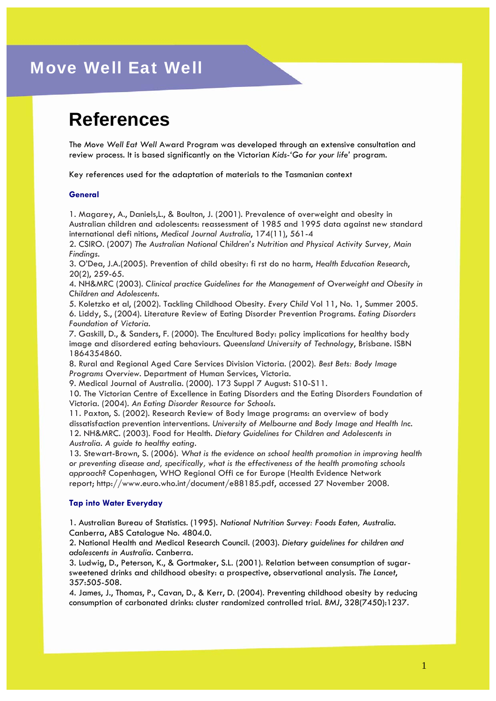# **References**

The *Move Well Eat Well* Award Program was developed through an extensive consultation and review process. It is based significantly on the Victorian *Kids-'Go for your life'* program.

Key references used for the adaptation of materials to the Tasmanian context

### **General**

1. Magarey, A., Daniels,L., & Boulton, J. (2001). Prevalence of overweight and obesity in Australian children and adolescents: reassessment of 1985 and 1995 data against new standard international defi nitions, *Medical Journal Australia*, 174(11), 561-4

2. CSIRO. (2007) *The Australian National Children's Nutrition and Physical Activity Survey, Main Findings*.

3. O'Dea, J.A.(2005). Prevention of child obesity: fi rst do no harm, *Health Education Research*, 20(2), 259-65.

4. NH&MRC (2003). *Clinical practice Guidelines for the Management of Overweight and Obesity in Children and Adolescents*.

5. Koletzko et al, (2002). Tackling Childhood Obesity. *Every Child* Vol 11, No. 1, Summer 2005. 6. Liddy, S., (2004). Literature Review of Eating Disorder Prevention Programs. *Eating Disorders Foundation of Victoria*.

7. Gaskill, D., & Sanders, F. (2000). The Encultured Body: policy implications for healthy body image and disordered eating behaviours. *Queensland University of Technology*, Brisbane. ISBN 1864354860.

8. Rural and Regional Aged Care Services Division Victoria. (2002). *Best Bets: Body Image Programs Overview*. Department of Human Services, Victoria.

9. Medical Journal of Australia. (2000). 173 Suppl 7 August: S10-S11.

10. The Victorian Centre of Excellence in Eating Disorders and the Eating Disorders Foundation of Victoria. (2004). *An Eating Disorder Resource for Schools*.

11. Paxton, S. (2002). Research Review of Body Image programs: an overview of body dissatisfaction prevention interventions. *University of Melbourne and Body Image and Health Inc*. 12. NH&MRC. (2003). Food for Health. *Dietary Guidelines for Children and Adolescents in Australia. A guide to healthy eating*.

13. Stewart-Brown, S. (2006). *What is the evidence on school health promotion in improving health or preventing disease and, specifically, what is the effectiveness of the health promoting schools approach*? Copenhagen, WHO Regional Offi ce for Europe (Health Evidence Network report; http://www.euro.who.int/document/e88185.pdf, accessed 27 November 2008.

### **Tap into Water Everyday**

1. Australian Bureau of Statistics. (1995). *National Nutrition Survey: Foods Eaten, Australia*. Canberra, ABS Catalogue No. 4804.0.

2. National Health and Medical Research Council. (2003). *Dietary guidelines for children and adolescents in Australia*. Canberra.

3. Ludwig, D., Peterson, K., & Gortmaker, S.L. (2001). Relation between consumption of sugarsweetened drinks and childhood obesity: a prospective, observational analysis. *The Lancet*, 357:505-508.

4. James, J., Thomas, P., Cavan, D., & Kerr, D. (2004). Preventing childhood obesity by reducing consumption of carbonated drinks: cluster randomized controlled trial. *BMJ*, 328(7450):1237.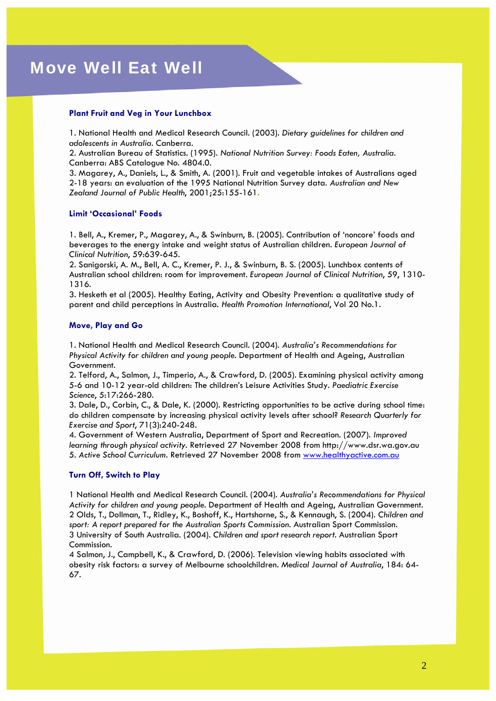#### **Plant Fruit and Veg in Your Lunchbox**

1. National Health and Medical Research Council. (2003). *Dietary guidelines for children and adolescents in Australia*. Canberra.

2. Australian Bureau of Statistics. (1995). *National Nutrition Survey: Foods Eaten, Australia*. Canberra: ABS Catalogue No. 4804.0.

3. Magarey, A., Daniels, L., & Smith, A. (2001). Fruit and vegetable intakes of Australians aged 2-18 years: an evaluation of the 1995 National Nutrition Survey data. *Australian and New Zealand Journal of Public Health*, 2001;25:155-161**.**

#### **Limit 'Occasional' Foods**

1. Bell, A., Kremer, P., Magarey, A., & Swinburn, B. (2005). Contribution of 'noncore' foods and beverages to the energy intake and weight status of Australian children. *European Journal of Clinical Nutrition*, 59:639-645.

2. Sanigorski, A. M., Bell, A. C., Kremer, P. J., & Swinburn, B. S. (2005). Lunchbox contents of Australian school children: room for improvement. *European Journal of Clinical Nutrition*, 59, 1310- 1316.

3. Hesketh et al (2005). Healthy Eating, Activity and Obesity Prevention: a qualitative study of parent and child perceptions in Australia. *Health Promotion International*, Vol 20 No.1.

#### **Move, Play and Go**

1. National Health and Medical Research Council. (2004). *Australia's Recommendations for Physical Activity for children and young people*. Department of Health and Ageing, Australian Government.

2. Telford, A., Salmon, J., Timperio, A., & Crawford, D. (2005). Examining physical activity among 5-6 and 10-12 year-old children: The children's Leisure Activities Study. *Paediatric Exercise Science*, 5:17:266-280.

3. Dale, D., Corbin, C., & Dale, K. (2000). Restricting opportunities to be active during school time: do children compensate by increasing physical activity levels after school? *Research Quarterly for Exercise and Sport*, 71(3):240-248.

4. Government of Western Australia, Department of Sport and Recreation. (2007). *Improved learning through physical activity*. Retrieved 27 November 2008 from http://www.dsr.wa.gov.au 5. *Active School Curriculum*. Retrieved 27 November 2008 from [www.healthyactive.com.au](http://www.healthyactive.com.au/)

### **Turn Off, Switch to Play**

1 National Health and Medical Research Council. (2004). *Australia's Recommendations for Physical Activity for children and young people*. Department of Health and Ageing, Australian Government. 2 Olds, T., Dollman, T., Ridley, K., Boshoff, K., Hartshorne, S., & Kennaugh, S. (2004). *Children and sport: A report prepared for the Australian Sports Commission*. Australian Sport Commission. 3 University of South Australia. (2004). *Children and sport research report*. Australian Sport Commission.

4 Salmon, J., Campbell, K., & Crawford, D. (2006). Television viewing habits associated with obesity risk factors: a survey of Melbourne schoolchildren. *Medical Journal of Australia*, 184: 64- 67.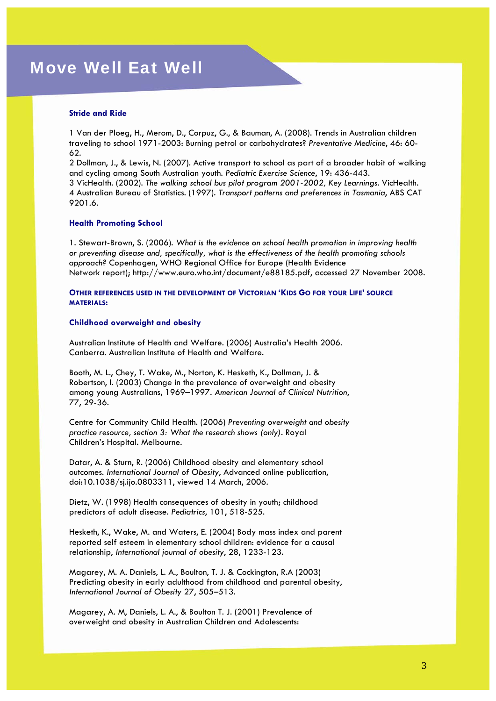#### **Stride and Ride**

1 Van der Ploeg, H., Merom, D., Corpuz, G., & Bauman, A. (2008). Trends in Australian children traveling to school 1971-2003: Burning petrol or carbohydrates? *Preventative Medicine*, 46: 60- 62.

2 Dollman, J., & Lewis, N. (2007). Active transport to school as part of a broader habit of walking and cycling among South Australian youth. *Pediatric Exercise Science*, 19: 436-443.

3 VicHealth. (2002). *The walking school bus pilot program 2001-2002, Key Learnings*. VicHealth. 4 Australian Bureau of Statistics. (1997). *Transport patterns and preferences in Tasmania*, ABS CAT 9201.6.

#### **Health Promoting School**

1. Stewart-Brown, S. (2006). *What is the evidence on school health promotion in improving health or preventing disease and, specifically, what is the effectiveness of the health promoting schools approach?* Copenhagen, WHO Regional Office for Europe (Health Evidence Network report); http://www.euro.who.int/document/e88185.pdf, accessed 27 November 2008.

**OTHER REFERENCES USED IN THE DEVELOPMENT OF VICTORIAN 'KIDS GO FOR YOUR LIFE' SOURCE MATERIALS:** 

#### **Childhood overweight and obesity**

Australian Institute of Health and Welfare. (2006) Australia's Health 2006. Canberra. Australian Institute of Health and Welfare.

Booth, M. L., Chey, T. Wake, M., Norton, K. Hesketh, K., Dollman, J. & Robertson, I. (2003) Change in the prevalence of overweight and obesity among young Australians, 1969–1997. *American Journal of Clinical Nutrition*, 77, 29-36.

Centre for Community Child Health. (2006) *Preventing overweight and obesity practice resource, section 3: What the research shows (only)*. Royal Children's Hospital. Melbourne.

Datar, A. & Sturn, R. (2006) Childhood obesity and elementary school outcomes. *International Journal of Obesity*, Advanced online publication, doi:10.1038/sj.ijo.0803311, viewed 14 March, 2006.

Dietz, W. (1998) Health consequences of obesity in youth; childhood predictors of adult disease. *Pediatrics*, 101, 518-525.

Hesketh, K., Wake, M. and Waters, E. (2004) Body mass index and parent reported self esteem in elementary school children: evidence for a causal relationship, *International journal of obesity*, 28, 1233-123.

Magarey, M. A. Daniels, L. A., Boulton, T. J. & Cockington, R.A (2003) Predicting obesity in early adulthood from childhood and parental obesity, *International Journal of Obesity* 27, 505–513.

Magarey, A. M, Daniels, L. A., & Boulton T. J. (2001) Prevalence of overweight and obesity in Australian Children and Adolescents: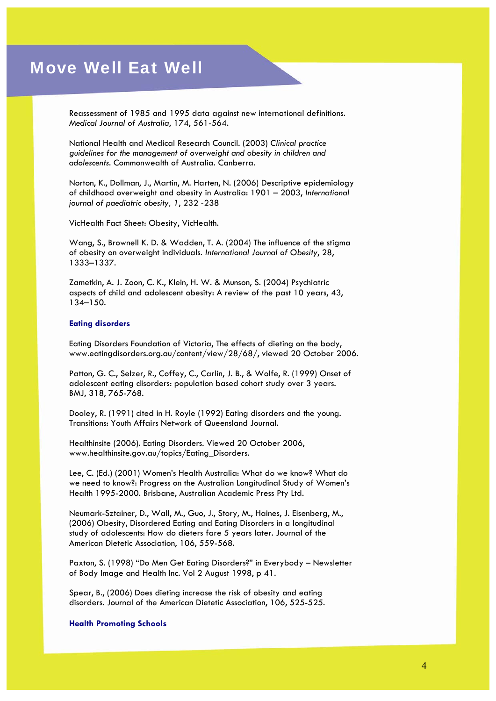Reassessment of 1985 and 1995 data against new international definitions. *Medical Journal of Australia*, 174, 561-564.

National Health and Medical Research Council. (2003) *Clinical practice guidelines for the management of overweight and obesity in children and adolescents*. Commonwealth of Australia. Canberra.

Norton, K., Dollman, J., Martin, M. Harten, N. (2006) Descriptive epidemiology of childhood overweight and obesity in Australia: 1901 – 2003, *International journal of paediatric obesity, 1*, 232 -238

VicHealth Fact Sheet: Obesity, VicHealth.

Wang, S., Brownell K. D. & Wadden, T. A. (2004) The influence of the stigma of obesity on overweight individuals. *International Journal of Obesity*, 28, 1333–1337.

Zametkin, A. J. Zoon, C. K., Klein, H. W. & Munson, S. (2004) Psychiatric aspects of child and adolescent obesity: A review of the past 10 years, 43, 134–150.

#### **Eating disorders**

Eating Disorders Foundation of Victoria, The effects of dieting on the body, www.eatingdisorders.org.au/content/view/28/68/, viewed 20 October 2006.

Patton, G. C., Selzer, R., Coffey, C., Carlin, J. B., & Wolfe, R. (1999) Onset of adolescent eating disorders: population based cohort study over 3 years. BMJ, 318, 765-768.

Dooley, R. (1991) cited in H. Royle (1992) Eating disorders and the young. Transitions: Youth Affairs Network of Queensland Journal.

Healthinsite (2006). Eating Disorders. Viewed 20 October 2006, www.healthinsite.gov.au/topics/Eating\_Disorders.

Lee, C. (Ed.) (2001) Women's Health Australia: What do we know? What do we need to know?: Progress on the Australian Longitudinal Study of Women's Health 1995-2000. Brisbane, Australian Academic Press Pty Ltd.

Neumark-Sztainer, D., Wall, M., Guo, J., Story, M., Haines, J. Eisenberg, M., (2006) Obesity, Disordered Eating and Eating Disorders in a longitudinal study of adolescents: How do dieters fare 5 years later. Journal of the American Dietetic Association, 106, 559-568.

Paxton, S. (1998) "Do Men Get Eating Disorders?" in Everybody – Newsletter of Body Image and Health Inc. Vol 2 August 1998, p 41.

Spear, B., (2006) Does dieting increase the risk of obesity and eating disorders. Journal of the American Dietetic Association, 106, 525-525.

### **Health Promoting Schools**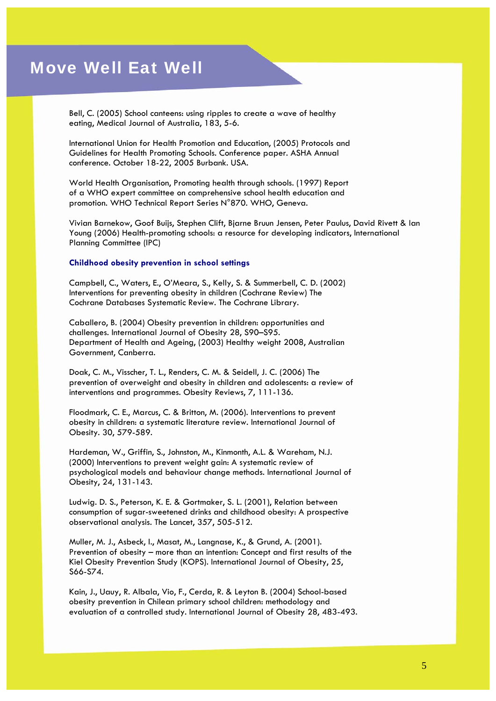Bell, C. (2005) School canteens: using ripples to create a wave of healthy eating, Medical Journal of Australia, 183, 5-6.

International Union for Health Promotion and Education, (2005) Protocols and Guidelines for Health Promoting Schools. Conference paper. ASHA Annual conference. October 18-22, 2005 Burbank. USA.

World Health Organisation, Promoting health through schools. (1997) Report of a WHO expert committee on comprehensive school health education and promotion. WHO Technical Report Series N°870. WHO, Geneva.

Vivian Barnekow, Goof Buijs, Stephen Clift, Bjarne Bruun Jensen, Peter Paulus, David Rivett & Ian Young (2006) Health-promoting schools: a resource for developing indicators, International Planning Committee (IPC)

#### **Childhood obesity prevention in school settings**

Campbell, C., Waters, E., O'Meara, S., Kelly, S. & Summerbell, C. D. (2002) Interventions for preventing obesity in children (Cochrane Review) The Cochrane Databases Systematic Review. The Cochrane Library.

Caballero, B. (2004) Obesity prevention in children: opportunities and challenges. International Journal of Obesity 28, S90–S95. Department of Health and Ageing, (2003) Healthy weight 2008, Australian Government, Canberra.

Doak, C. M., Visscher, T. L., Renders, C. M. & Seidell, J. C. (2006) The prevention of overweight and obesity in children and adolescents: a review of interventions and programmes. Obesity Reviews, 7, 111-136.

Floodmark, C. E., Marcus, C. & Britton, M. (2006). Interventions to prevent obesity in children: a systematic literature review. International Journal of Obesity. 30, 579-589.

Hardeman, W., Griffin, S., Johnston, M., Kinmonth, A.L. & Wareham, N.J. (2000) Interventions to prevent weight gain: A systematic review of psychological models and behaviour change methods. International Journal of Obesity, 24, 131-143.

Ludwig. D. S., Peterson, K. E. & Gortmaker, S. L. (2001), Relation between consumption of sugar-sweetened drinks and childhood obesity: A prospective observational analysis. The Lancet, 357, 505-512.

Muller, M. J., Asbeck, I., Masat, M., Langnase, K., & Grund, A. (2001). Prevention of obesity – more than an intention: Concept and first results of the Kiel Obesity Prevention Study (KOPS). International Journal of Obesity, 25, S66-S74.

Kain, J., Uauy, R. Albala, Vio, F., Cerda, R. & Leyton B. (2004) School-based obesity prevention in Chilean primary school children: methodology and evaluation of a controlled study. International Journal of Obesity 28, 483-493.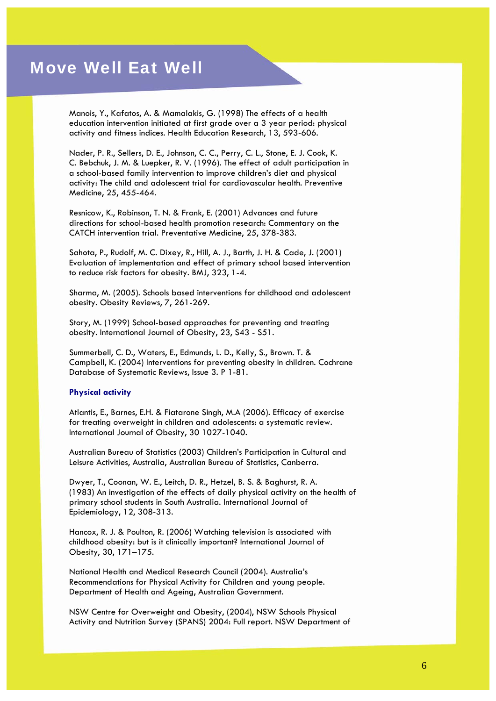Manois, Y., Kafatos, A. & Mamalakis, G. (1998) The effects of a health education intervention initiated at first grade over a 3 year period: physical activity and fitness indices. Health Education Research, 13, 593-606.

Nader, P. R., Sellers, D. E., Johnson, C. C., Perry, C. L., Stone, E. J. Cook, K. C. Bebchuk, J. M. & Luepker, R. V. (1996). The effect of adult participation in a school-based family intervention to improve children's diet and physical activity: The child and adolescent trial for cardiovascular health. Preventive Medicine, 25, 455-464.

Resnicow, K., Robinson, T. N. & Frank, E. (2001) Advances and future directions for school-based health promotion research: Commentary on the CATCH intervention trial. Preventative Medicine, 25, 378-383.

Sahota, P., Rudolf, M. C. Dixey, R., Hill, A. J., Barth, J. H. & Cade, J. (2001) Evaluation of implementation and effect of primary school based intervention to reduce risk factors for obesity. BMJ, 323, 1-4.

Sharma, M. (2005). Schools based interventions for childhood and adolescent obesity. Obesity Reviews, 7, 261-269.

Story, M. (1999) School-based approaches for preventing and treating obesity. International Journal of Obesity, 23, S43 - S51.

Summerbell, C. D., Waters, E., Edmunds, L. D., Kelly, S., Brown. T. & Campbell, K. (2004) Interventions for preventing obesity in children. Cochrane Database of Systematic Reviews, Issue 3. P 1-81.

### **Physical activity**

Atlantis, E., Barnes, E.H. & Fiatarone Singh, M.A (2006). Efficacy of exercise for treating overweight in children and adolescents: a systematic review. International Journal of Obesity, 30 1027-1040.

Australian Bureau of Statistics (2003) Children's Participation in Cultural and Leisure Activities, Australia, Australian Bureau of Statistics, Canberra.

Dwyer, T., Coonan, W. E., Leitch, D. R., Hetzel, B. S. & Baghurst, R. A. (1983) An investigation of the effects of daily physical activity on the health of primary school students in South Australia. International Journal of Epidemiology, 12, 308-313.

Hancox, R. J. & Poulton, R. (2006) Watching television is associated with childhood obesity: but is it clinically important? International Journal of Obesity, 30, 171–175.

National Health and Medical Research Council (2004). Australia's Recommendations for Physical Activity for Children and young people. Department of Health and Ageing, Australian Government.

NSW Centre for Overweight and Obesity, (2004), NSW Schools Physical Activity and Nutrition Survey (SPANS) 2004: Full report. NSW Department of